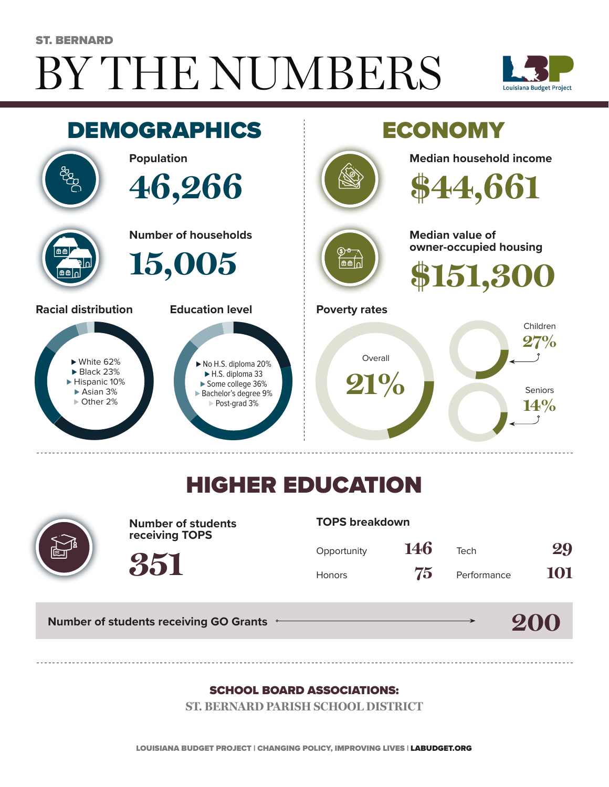# BY THE NUMBERS ST. BERNARD





## HIGHER EDUCATION



**Number of students receiving TOPS**

#### **TOPS breakdown**

| Opportunity   | 146 | Tech        | 29  |
|---------------|-----|-------------|-----|
| <b>Honors</b> | 75  | Performance | 101 |

**200**

**Number of students receiving GO Grants**

**351**

#### SCHOOL BOARD ASSOCIATIONS:

**ST. BERNARD PARISH SCHOOL DISTRICT**